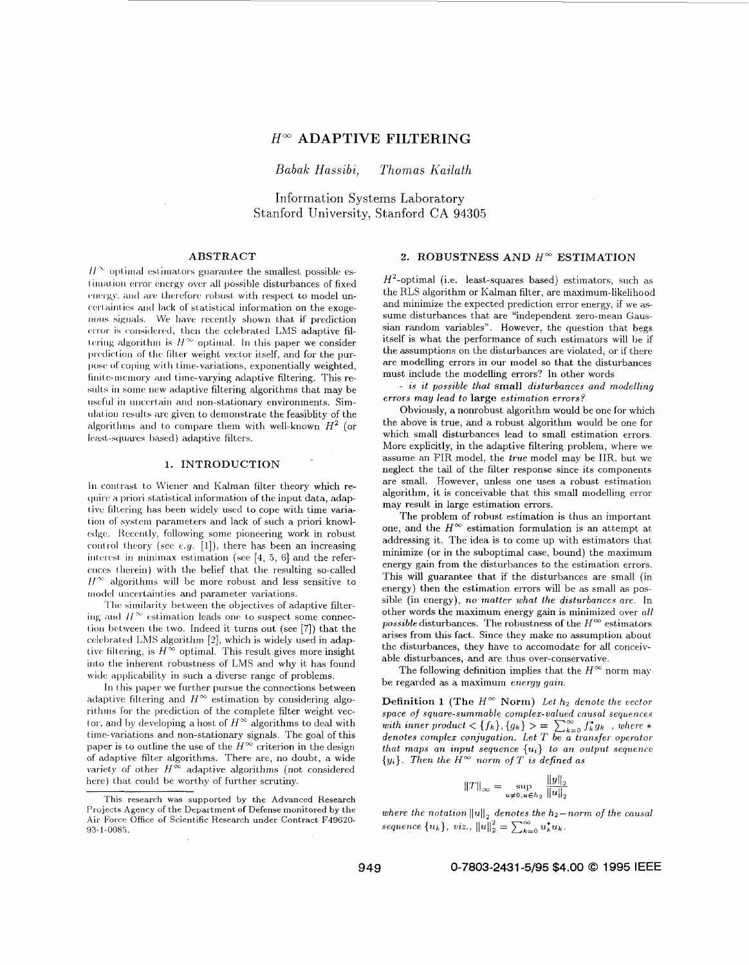# $H^{\infty}$  ADAPTIVE FILTERING

Babak Hassibi, Thomas Kailath

Information Systems Laboratory Stanford University, Stanford CA 94305

#### ABSTRACT

 $H^{\infty}$  optimal estimators guarantee the smallest possible estimation error energy over all possible disturbances of fixed energy, and are therefore robust with respect to model uncertainties and lack of statistical information on the exogenous signals. We have recently shown that if prediction error is considered, then the celebrated LMS adaptive filtering algorithm is  $H^{\infty}$  optimal. In this paper we consider prediction of the filter weight vector itself, and for the purpose of coping with time-variations, exponentially weighted, finite-memory and time-varying adaptive filtering. This results in some new adaptive filtering algorithms that may be useful in uncertain and non-stationary environments. Simulation results are given to demonstrate the feasiblity of the algorithms and to compare them with well-known  $H^2$  (or least-squares based) adaptive filters.

### 1. INTRODUCTION

In contrast to Wiener and Kalman filter theory which require a priori statistical information of the input data, adaptive filtering has been widely used to cope with time variation of system parameters and lack of such a priori knowledge. Recently, following some pioneering work in robust control theory (see e.g. [1]), there has been an increasing interest in minimax estimation (see  $[4, 5, 6]$  and the references therein) with the belief that the resulting so-called  $H^{\infty}$  algorithms will be more robust and less sensitive to model uncertainties and parameter variations.

The similarity between the objectives of adaptive filtering and  $H^{\infty}$  estimation leads one to suspect some connection between the two. Indeed it turns out (see [7]) that the celebrated LMS algorithm [2], which is widely used in adaptive filtering, is  $H^{\infty}$  optimal. This result gives more insight into the inherent robustness of LMS and why it has found wide applicability in such a diverse range of problems.

In this paper we further pursue the connections between adaptive filtering and  $H^{\infty}$  estimation by considering algorithms for the prediction of the complete filter weight vector, and by developing a host of  $H^\infty$  algorithms to deal with time-variations and non-stationary signals. The goal of this paper is to outline the use of the  $H^{\infty}$  criterion in the design of adaptive filter algorithms. There are, no doubt, a wide variety of other  $H^{\infty}$  adaptive algorithms (not considered here) that could be worthy of further scrutiny.

# 2. ROBUSTNESS AND  $H^{\infty}$  ESTIMATION

 $H^2$ -optimal (i.e. least-squares based) estimators, such as the RLS algorithm or Kalman filter, are maximum-likelihood and minimize the expected prediction error energy, if we assume disturbances that are "independent zero-mean Gaussian random variables". However, the question that begs itself is what the performance of such estimators will be if the assumptions on the disturbances are violated, or if there are modelling errors in our model so that the disturbances must include the modelling errors? In other words

- is it possible that small disturbances and modelling errors may lead to large estimation errors?

Obviously, a nonrobust algorithm would be one for which the above is true, and a robust algorithm would be one for which small disturbances lead to small estimation errors. More explicitly, in the adaptive filtering problem, where we assume an FIR model, the true model may be IIR, but we neglect the tail of the filter response since its components are small. However, unless one uses a robust estimation algorithm, it is conceivable that this small modelling error may result in large estimation errors.

The problem of robust estimation is thus an important one, and the  $H^{\infty}$  estimation formulation is an attempt at addressing it. The idea is to come up with estimators that minimize (or in the suboptimal case, bound) the maximum energy gain from the disturbances to the estimation errors. This will guarantee that if the disturbances are small (in energy) then the estimation errors will be as small as possible (in energy), no matter what the disturbances are. In other words the maximum energy gain is minimized over all possible disturbances. The robustness of the  $H^{\infty}$  estimators arises from this fact. Since they make no assumption about the disturbances, they have to accomodate for all conceivable disturbances, and are thus over-conservative.

The following definition implies that the  $H^{\infty}$  norm may be regarded as a maximum energy gain.

**Definition 1 (The**  $H^{\infty}$  **Norm)** Let  $h_2$  denote the vector space of square-summable complex-valued causal sequences with inner product  $\langle \{f_k\}, \{g_k\} \rangle = \sum_{k=0}^{\infty} \int_{k}^{k} g_k$ , where  $*$ <br>denotes complex conjugation. Let T be a transfer operator that maps an input sequence  $\{u_i\}$  to an output sequence  ${y_i}$ . Then the  $H^{\infty}$  norm of T is defined as

$$
||T||_{\infty} = \sup_{u \neq 0, u \in h_2} \frac{||y||_2}{||u||_2}
$$

where the notation  $\left\Vert u\right\Vert _{2}$  denotes the  $h_{2}-norm$  of the causal sequence  ${u_k}$ , viz.,  ${||u||_2^2} = \sum_{k=0}^{\infty} u_k^* u_k$ .

This research was supported by the Advanced Research Projects Agency of the Department of Defense monitored by the Air Force Office of Scientific Research under Contract F49620-93-1-0085.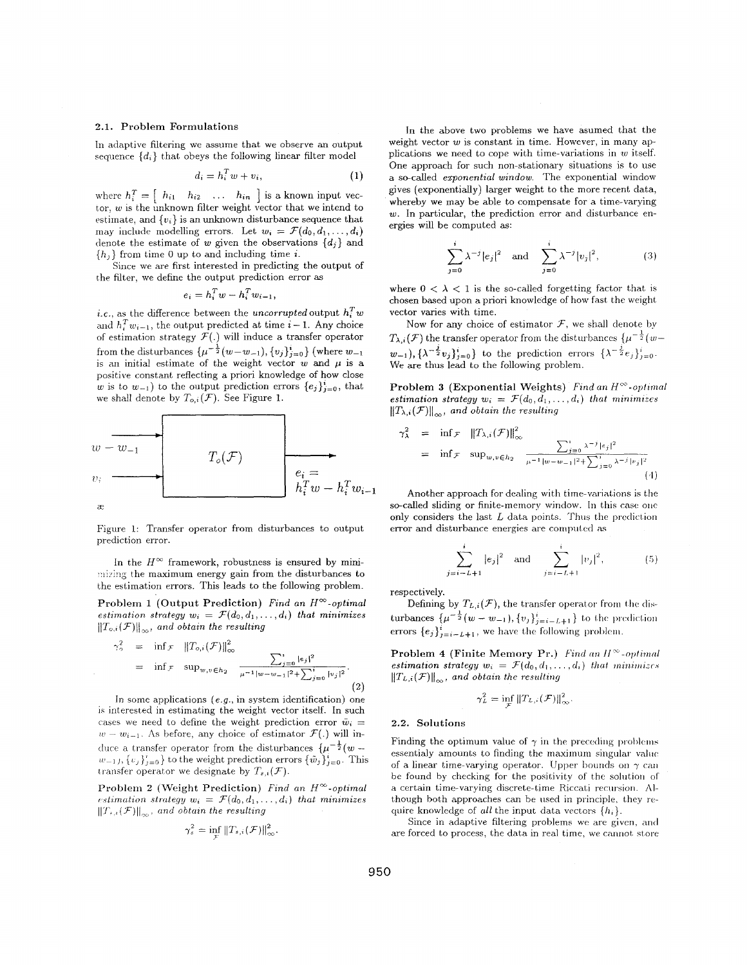#### **2.1.** Problem Formulations

In adaptive filtering we assume that we observe an output sequence  $\{d_i\}$  that obeys the following linear filter model

$$
d_i = h_i^T w + v_i, \tag{1}
$$

where  $h_i^T = \begin{bmatrix} h_{i1} & h_{i2} & \dots & h_{in} \end{bmatrix}$  is a known input vector,  $w$  is the unknown filter weight vector that we intend to estimate, and  $\{v_i\}$  is an unknown disturbance sequence that may include modelling errors. Let  $w_i = \mathcal{F}(d_0, d_1, \ldots, d_i)$ denote the estimate of *w* given the observations *{dj}* and  ${h_j}$  from time 0 up to and including time *i*.

Since we are first interested in predicting the output of the filter, we define the output prediction error as

$$
e_i = h_i^T w - h_i^T w_{i-1},
$$

*i.e.*, as the difference between the *uncorrupted* output  $h_i^T w$ *i.e.*, as the difference between the *uncorrupted* output  $h_i^2 w$  and  $h_i^T w_{i-1}$ , the output predicted at time  $i - 1$ . Any choice of estimation strategy  $\mathcal{F}(.)$  will induce a transfer operator from the disturbances  $\{\mu^{-\frac{1}{2}}(w-w_{-1}), \{v_j\}_{j=0}^i\}$  (where  $w_{-1}$ is an initial estimate of the weight vector  $w$  and  $\mu$  is a positive constant reflecting a priori knowledge of how close *w* is to  $w_{-1}$ ) to the output prediction errors  ${e_i}_{i=0}^i$ , that we shall denote by  $T_{o,i}(\mathcal{F})$ . See Figure 1.



Figure 1: Transfer operator from disturbances to output prediction error.

In the  $H^{\infty}$  framework, robustness is ensured by minimizing the maximum energy gain from the disturbances to the estimation errors. This leads to the following problem.

Problem 1 (Output Prediction) *Find an H<sup>w</sup>-optimal estimation strategy*  $w_i = \mathcal{F}(d_0, d_1, \ldots, d_i)$  that minimizes  $\left\|T_{o,i}(\mathcal{F})\right\|_{\infty}$ , and obtain the resulting

$$
\gamma_o^2 = \inf \mathcal{F} \|T_{o,i}(\mathcal{F})\|_{\infty}^2
$$
  
=  $\inf \mathcal{F} \sup_{w,v \in h_2} \frac{\sum_{j=0}^{\mathfrak{r}} |e_j|^2}{\mu^{-1} |w - w_{-1}|^2 + \sum_{j=0}^{\mathfrak{r}} |v_j|^2}.$  (2)

In some applications *(e.g.,* in system identification) one is interested in estimating the weight vector itself. In such cases we need to define the weight prediction error  $\tilde{w}_i =$  $w - w_{i-1}$ . As before, any choice of estimator  $\mathcal{F}(\cdot)$  will induce a transfer operator from the disturbances  $\{\mu^{-\frac{1}{2}}(w - \frac{1}{2})\}$  $w_{-1}$ ,  $\{v_j\}_{j=0}^i$  to the weight prediction errors  $\{\tilde{w}_j\}_{j=0}^i$ . This transfer operator we designate by  $T_{s,i}(\mathcal{F})$ .

Problem **2** (Weight Prediction) *Find un H"-optimal r...stimation strategy*  $w_i = \mathcal{F}(d_0, d_1, \ldots, d_i)$  that minimizes  $||T_{s,t}(\mathcal{F})||_{\infty}$ , and obtain the resulting

$$
\gamma_s^2 = \inf_{\mathcal{T}} \|T_{s,i}(\mathcal{F})\|_{\infty}^2.
$$

**In** the above two problems we have asumed that the weight vector *w* is constant in time. However, in many applications we need to cope with time-variations in  $w$  itself. One approach for such non-stationary situations is to use a secalled *exponential window.* The exponential window gives (exponentially) larger weight to the more recent data, whereby we may be able to compensate for a time-varying *w.* In particular, the prediction error and disturbance energies will be computed as:

$$
\sum_{j=0}^{i} \lambda^{-j} |e_j|^2 \text{ and } \sum_{j=0}^{i} \lambda^{-j} |v_j|^2, \quad (3)
$$

where  $0 < \lambda < 1$  is the so-called forgetting factor that is chosen based upon a priori knowledge of how fast the weight vector vanes with time.

Now for any choice of estimator *F,* we shall denote *by*   $T_{\lambda,i}(\mathcal{F})$  the transfer operator from the disturbances  $\{\mu^{-\frac{1}{2}}(w-\frac{1}{2})\}$  $(w_{-1}), \{\lambda^{-\frac{1}{2}}v_j\}_{j=0}^n\}$  to the prediction errors  $\{\lambda^{-\frac{1}{2}},\lambda^{-\frac{1}{2}}\}$ We are thus lead to the following problem. *F* 

**Problem 3 (Exponential Weights)** *Find an H<sup>* $\infty$ *</sup>-optimal estimation strategy*  $w_i = \mathcal{F}(d_0, d_1, \ldots, d_i)$  that minimizes  $||T_{\lambda,i}(\mathcal{F})||_{\infty}$ , and obtain the resulting

$$
\gamma_{\lambda}^{2} = \inf \mathcal{F} \quad ||T_{\lambda,i}(\mathcal{F})||_{\infty}^{2}
$$
\n
$$
= \inf \mathcal{F} \quad \sup_{w,v \in h_{2}} \quad \frac{\sum_{j=0}^{i} \lambda^{-j} |e_{j}|^{2}}{\mu^{-1}|w - w_{-1}|^{2} + \sum_{j=0}^{i} \lambda^{-j} |v_{j}|^{2}}
$$
\n(4)

Another approach for dealing with time-variations is the so-called sliding or finite-memory window. In this case one only considers the last  $L$  data points. Thus the prediction error and disturbance energies are computed as

$$
\sum_{j=i-L+1}^{i} |e_j|^2 \quad \text{and} \quad \sum_{j=i-L+1}^{i} |v_j|^2, \tag{5}
$$

respectively.

Defining by  $T_{L,i}(\mathcal{F})$ , the transfer operator from the disturbances  $\{\mu^{-\frac{1}{2}}(w-w_{-1}), \{v_j\}_{j=i-L+1}^i\}$  to the prediction errors  $\{e_j\}_{j=i-L+1}^i$ , we have the following problem.

**Problem 4 (Finite Memory Pr.)** *Find an H*<sup> $\infty$ </sup>-optimal *estimation strategy*  $w_i = \mathcal{F}(d_0, d_1, \ldots, d_i)$  *that minimizes*  $||T_{L,i}(\mathcal{F})||_{\infty}$ , and obtain the resulting

$$
\gamma_L^2 = \inf_{\mathcal{F}} \| T_{L,i}(\mathcal{F}) \|_{\infty}^2.
$$

#### **2.2.** Solutions

Finding the optimum value of  $\gamma$  in the preceding problems essentialy amounts to finding the maximum singular value of a linear time-varying operator. Upper bounds on  $\gamma$  can be found by checking for the positivity of the solution of a certain time-varying discrete-time Riccati recursion. Although both approaches can be used in principle, they require knowledge of *all* the input data vectors  $\{h_i\}$ .

Since in adaptive filtering problems we are given, and are forced to process, the data in real time, we cannot store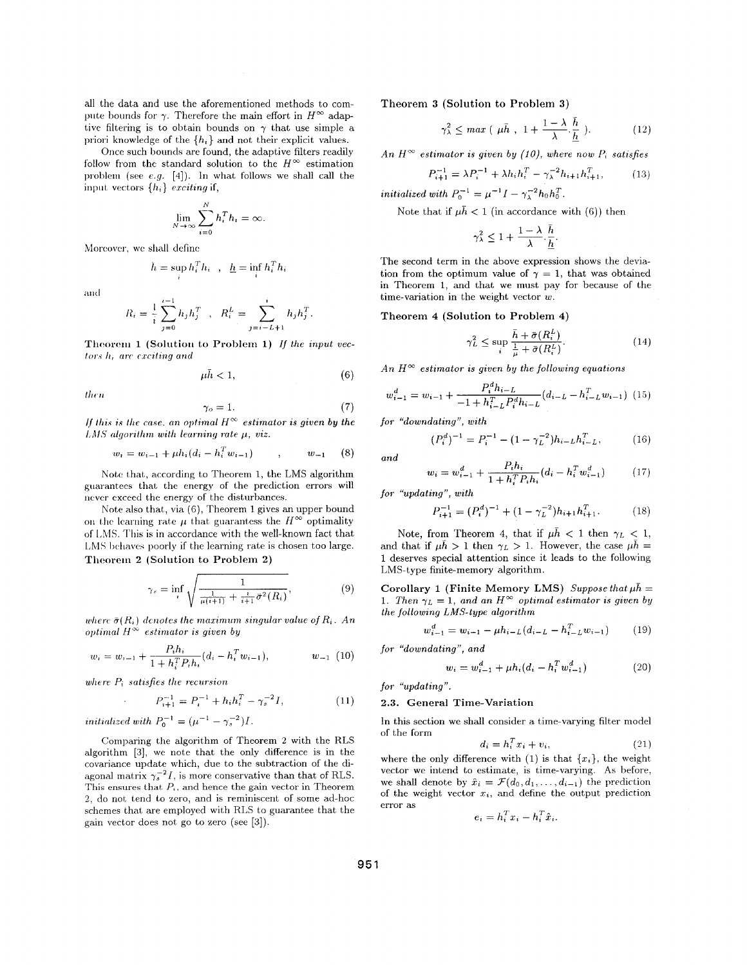all the data and use the aforementioned methods to compute bounds for  $\gamma$ . Therefore the main effort in  $H^{\infty}$  adaptive filtering is to obtain bounds on  $\gamma$  that use simple a priori knowledge of the  $\{h_i\}$  and not their explicit values.

Once such bounds are found, the adaptive filters readily follow from the standard solution to the  $H^{\infty}$  estimation problem (see e.g. [4]). In what follows we shall call the input vectors  $\{h_i\}$  exciting if,

$$
\lim_{N \to \infty} \sum_{i=0}^{N} h_i^T h_i = \infty.
$$

Moreover, we shall define

$$
h = \sup h_i^T h_i \quad , \quad \underline{h} = \inf h_i^T h_i
$$

and

$$
R_i = \frac{1}{i} \sum_{j=0}^{i-1} h_j h_j^T \quad , \quad R_i^L = \sum_{j=i-L+1}^i h_j h_j^T.
$$

Theorem 1 (Solution to Problem 1) If the input vec $tors\ h_i$  are exciting and

$$
\mu \bar{h} < 1,\tag{6}
$$

then

$$
\gamma_o = 1. \tag{7}
$$

If this is the case, an optimal  $H^{\infty}$  estimator is given by the LMS algorithm with learning rate  $\mu$ , viz.

$$
w_i = w_{i-1} + \mu h_i (d_i - h_i^T w_{i-1}) \qquad , \qquad w_{-1} \qquad (8)
$$

Note that, according to Theorem 1, the LMS algorithm guarantees that the energy of the prediction errors will never exceed the energy of the disturbances.

Note also that, via  $(6)$ , Theorem 1 gives an upper bound on the learning rate  $\mu$  that guarantess the  $H^{\infty}$  optimality of LMS. This is in accordance with the well-known fact that LMS behaves poorly if the learning rate is chosen too large. Theorem 2 (Solution to Problem 2)

$$
\gamma_s = \inf_i \sqrt{\frac{1}{\frac{1}{\mu(i+1)} + \frac{i}{i+1}\bar{\sigma}^2(R_i)}},\tag{9}
$$

where  $\bar{\sigma}(R_i)$  denotes the maximum singular value of  $R_i$ . An optimal  $H^{\infty}$  estimator is given by

$$
w_i = w_{i-1} + \frac{P_i h_i}{1 + h_i^T P_i h_i} (d_i - h_i^T w_{i-1}), \qquad w_{i-1} \tag{10}
$$

where  $P_i$  satisfies the recursion

**Contract Contract** 

$$
P_{i+1}^{-1} = P_i^{-1} + h_i h_i^T - \gamma_s^{-2} I,\tag{11}
$$

*initialized with*  $P_0^{-1} = (\mu^{-1} - \gamma_s^{-2})I$ .

Comparing the algorithm of Theorem 2 with the RLS algorithm [3], we note that the only difference is in the covariance update which, due to the subtraction of the diagonal matrix  $\gamma_s^{-2}I$ , is more conservative than that of RLS. This ensures that  $P_i$ , and hence the gain vector in Theorem 2, do not tend to zero, and is reminiscent of some ad-hoc schemes that are employed with RLS to guarantee that the gain vector does not go to zero (see  $[3]$ ).

Theorem 3 (Solution to Problem 3)

$$
\gamma_{\lambda}^{2} \leq \max \left( \mu \bar{h} , 1 + \frac{1 - \lambda}{\lambda} \frac{h}{\underline{h}} \right). \tag{12}
$$

An  $H^{\infty}$  estimator is given by (10), where now  $P_i$  satisfies

$$
P_{i+1}^{-1} = \lambda P_i^{-1} + \lambda h_i h_i^T - \gamma_{\lambda}^{-2} h_{i+1} h_{i+1}^T,
$$
 (13)

initialized with  $P_0^{-1} = \mu^{-1}I - \gamma_1^{-2}h_0h_0^T$ .

Note that if  $\mu \bar{h} < 1$  (in accordance with (6)) then

$$
\gamma_{\lambda}^2 \leq 1 + \frac{1 - \lambda}{\lambda} \cdot \frac{\bar{h}}{\underline{h}}.
$$

The second term in the above expression shows the deviation from the optimum value of  $\gamma = 1$ , that was obtained in Theorem 1, and that we must pay for because of the time-variation in the weight vector  $w$ .

Theorem 4 (Solution to Problem 4)

$$
\gamma_L^2 \le \sup_i \frac{\bar{h} + \bar{\sigma}(R_i^L)}{\frac{1}{\mu} + \bar{\sigma}(R_i^L)}.\tag{14}
$$

An  $H^{\infty}$  estimator is given by the following equations

$$
w_{i-1}^d = w_{i-1} + \frac{P_i^d h_{i-L}}{-1 + h_{i-L}^T P_i^d h_{i-L}} (d_{i-L} - h_{i-L}^T w_{i-1}) \tag{15}
$$

for "downdating", with

$$
(P_i^d)^{-1} = P_i^{-1} - (1 - \gamma_L^{-2})h_{i-L}h_{i-L}^T,
$$
 (16)

$$
and
$$

$$
w_i = w_{i-1}^d + \frac{P_i h_i}{1 + h_i^T P_i h_i} (d_i - h_i^T w_{i-1}^d)
$$
 (17)

for "updating", with

$$
P_{i+1}^{-1} = (P_i^d)^{-1} + (1 - \gamma_L^{-2})h_{i+1}h_{i+1}^T.
$$
 (18)

Note, from Theorem 4, that if  $\mu \bar{h} < 1$  then  $\gamma_L < 1$ , and that if  $\mu \bar{h} > 1$  then  $\gamma_L > 1$ . However, the case  $\mu \bar{h} =$ 1 deserves special attention since it leads to the following LMS-type finite-memory algorithm.

Corollary 1 (Finite Memory LMS) Suppose that  $\mu \bar{h} =$ 1. Then  $\gamma_L = 1$ , and an  $H^{\infty}$  optimal estimator is given by the following LMS-type algorithm

$$
w_{i-1}^d = w_{i-1} - \mu h_{i-L} (d_{i-L} - h_{i-L}^T w_{i-1}) \tag{19}
$$

for "downdating", and

$$
w_i = w_{i-1}^d + \mu h_i (d_i - h_i^T w_{i-1}^d)
$$
 (20)

for "updating".

#### 2.3. General Time-Variation

In this section we shall consider a time-varying filter model of the form

$$
d_i = h_i^T x_i + v_i,\tag{21}
$$

where the only difference with (1) is that  $\{x_i\}$ , the weight vector we intend to estimate, is time-varying. As before, we shall denote by  $\hat{x}_i = \mathcal{F}(d_0, d_1, \dots, d_{i-1})$  the prediction of the weight vector  $x_i$ , and define the output prediction error as

$$
e_i = h_i^T x_i - h_i^T \hat{x}_i.
$$